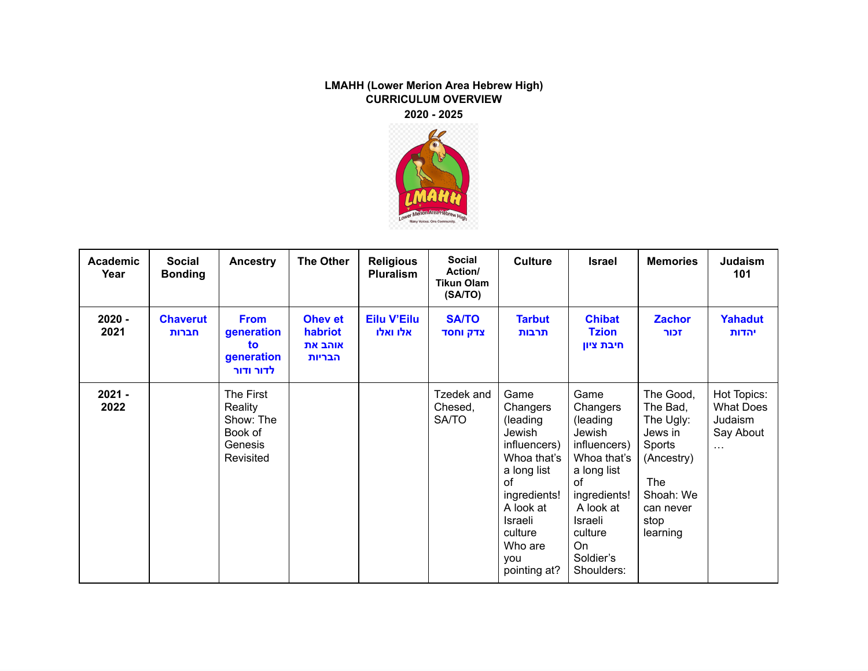## **LMAHH (Lower Merion Area Hebrew High) CURRICULUM OVERVIEW 2020 - 2025**



| <b>Academic</b><br>Year | <b>Social</b><br><b>Bonding</b> | Ancestry                                                             | <b>The Other</b>                        | <b>Religious</b><br><b>Pluralism</b> | <b>Social</b><br>Action/<br><b>Tikun Olam</b><br>(SA/TO) | <b>Culture</b>                                                                                                                                                                  | <b>Israel</b>                                                                                                                                                                  | <b>Memories</b>                                                                                                                   | Judaism<br>101                                                      |
|-------------------------|---------------------------------|----------------------------------------------------------------------|-----------------------------------------|--------------------------------------|----------------------------------------------------------|---------------------------------------------------------------------------------------------------------------------------------------------------------------------------------|--------------------------------------------------------------------------------------------------------------------------------------------------------------------------------|-----------------------------------------------------------------------------------------------------------------------------------|---------------------------------------------------------------------|
| $2020 -$<br>2021        | <b>Chaverut</b><br>חברות        | <b>From</b><br>generation<br>to<br>generation<br>לדור ודור           | Ohev et<br>habriot<br>אוהב את<br>הבריות | <b>Eilu V'Eilu</b><br>אלו ואלו       | <b>SA/TO</b><br>צדק וחסד                                 | <b>Tarbut</b><br>תרבות                                                                                                                                                          | <b>Chibat</b><br><b>Tzion</b><br>חיבת ציון                                                                                                                                     | <b>Zachor</b><br>זכור                                                                                                             | <b>Yahadut</b><br>יהדות                                             |
| $2021 -$<br>2022        |                                 | The First<br>Reality<br>Show: The<br>Book of<br>Genesis<br>Revisited |                                         |                                      | Tzedek and<br>Chesed,<br><b>SA/TO</b>                    | Game<br>Changers<br>(leading<br>Jewish<br>influencers)<br>Whoa that's<br>a long list<br>of<br>ingredients!<br>A look at<br>Israeli<br>culture<br>Who are<br>vou<br>pointing at? | Game<br>Changers<br>(leading<br>Jewish<br>influencers)<br>Whoa that's<br>a long list<br>οf<br>ingredients!<br>A look at<br>Israeli<br>culture<br>On<br>Soldier's<br>Shoulders: | The Good,<br>The Bad,<br>The Ugly:<br>Jews in<br>Sports<br>(Ancestry)<br><b>The</b><br>Shoah: We<br>can never<br>stop<br>learning | Hot Topics:<br><b>What Does</b><br>Judaism<br>Say About<br>$\cdots$ |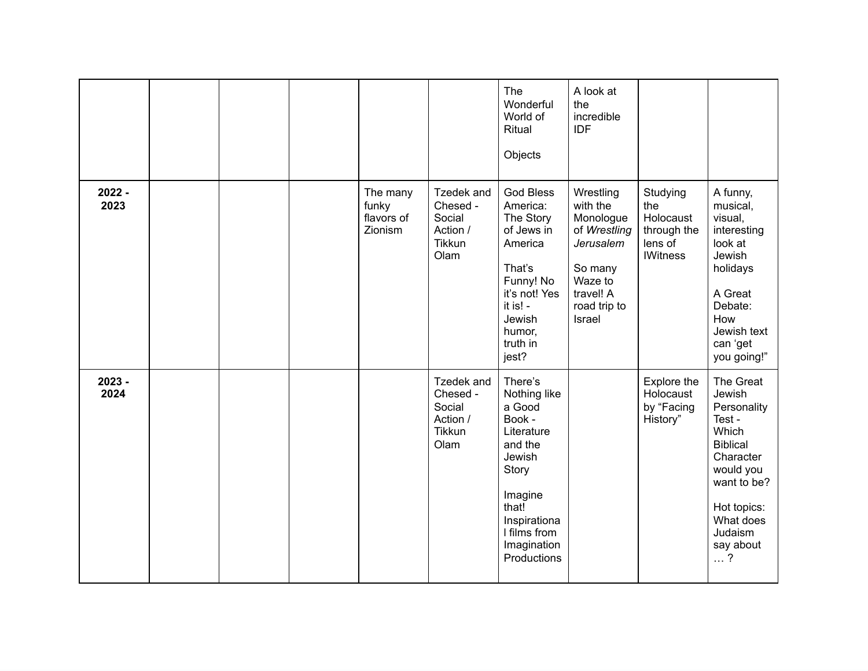|                  |  |                                            |                                                                       | The<br>Wonderful<br>World of<br>Ritual<br>Objects                                                                                                                         | A look at<br>the<br>incredible<br><b>IDF</b>                                                                                 |                                                                           |                                                                                                                                                                                     |
|------------------|--|--------------------------------------------|-----------------------------------------------------------------------|---------------------------------------------------------------------------------------------------------------------------------------------------------------------------|------------------------------------------------------------------------------------------------------------------------------|---------------------------------------------------------------------------|-------------------------------------------------------------------------------------------------------------------------------------------------------------------------------------|
| $2022 -$<br>2023 |  | The many<br>funky<br>flavors of<br>Zionism | Tzedek and<br>Chesed -<br>Social<br>Action /<br><b>Tikkun</b><br>Olam | <b>God Bless</b><br>America:<br>The Story<br>of Jews in<br>America<br>That's<br>Funny! No<br>it's not! Yes<br>it is! -<br>Jewish<br>humor,<br>truth in<br>jest?           | Wrestling<br>with the<br>Monologue<br>of Wrestling<br>Jerusalem<br>So many<br>Waze to<br>travel! A<br>road trip to<br>Israel | Studying<br>the<br>Holocaust<br>through the<br>lens of<br><b>IWitness</b> | A funny,<br>musical,<br>visual,<br>interesting<br>look at<br>Jewish<br>holidays<br>A Great<br>Debate:<br>How<br>Jewish text<br>can 'get<br>you going!"                              |
| $2023 -$<br>2024 |  |                                            | Tzedek and<br>Chesed -<br>Social<br>Action /<br><b>Tikkun</b><br>Olam | There's<br>Nothing like<br>a Good<br>Book -<br>Literature<br>and the<br>Jewish<br>Story<br>Imagine<br>that!<br>Inspirationa<br>I films from<br>Imagination<br>Productions |                                                                                                                              | Explore the<br>Holocaust<br>by "Facing<br>History"                        | The Great<br>Jewish<br>Personality<br>Test -<br>Which<br><b>Biblical</b><br>Character<br>would you<br>want to be?<br>Hot topics:<br>What does<br>Judaism<br>say about<br>$\ldots$ ? |